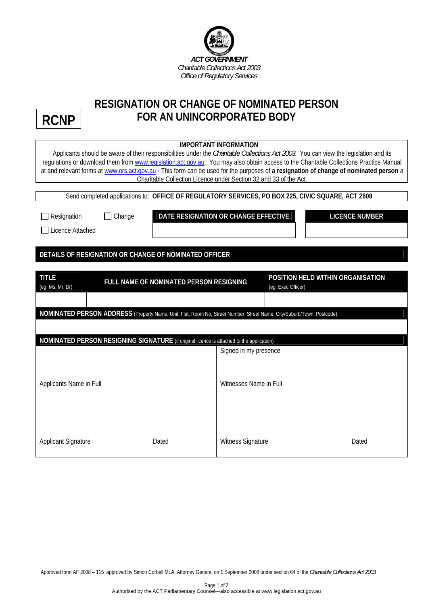

## **RESIGNATION OR CHANGE OF NOMINATED PERSON FOR AN UNINCORPORATED BODY**

**RCNP**

| <b>IMPORTANT INFORMATION</b><br>Applicants should be aware of their responsibilities under the Charitable Collections Act 2003. You can view the legislation and its<br>regulations or download them from www.legislation.act.gov.au. You may also obtain access to the Charitable Collections Practice Manual<br>at and relevant forms at www.ors.act.gov.au - This form can be used for the purposes of a resignation of change of nominated person a<br>Charitable Collection Licence under Section 32 and 33 of the Act.<br>Send completed applications to: OFFICE OF REGULATORY SERVICES, PO BOX 225, CIVIC SQUARE, ACT 2608 |                                                         |                       |  |  |  |  |
|-----------------------------------------------------------------------------------------------------------------------------------------------------------------------------------------------------------------------------------------------------------------------------------------------------------------------------------------------------------------------------------------------------------------------------------------------------------------------------------------------------------------------------------------------------------------------------------------------------------------------------------|---------------------------------------------------------|-----------------------|--|--|--|--|
| $\Box$ Change<br>Resignation<br>Licence Attached                                                                                                                                                                                                                                                                                                                                                                                                                                                                                                                                                                                  | DATE RESIGNATION OR CHANGE EFFECTIVE                    | <b>LICENCE NUMBER</b> |  |  |  |  |
| DETAILS OF RESIGNATION OR CHANGE OF NOMINATED OFFICER                                                                                                                                                                                                                                                                                                                                                                                                                                                                                                                                                                             |                                                         |                       |  |  |  |  |
| <b>TITLE</b><br>FULL NAME OF NOMINATED PERSON RESIGNING<br>(eg. Ms, Mr, Dr)                                                                                                                                                                                                                                                                                                                                                                                                                                                                                                                                                       | POSITION HELD WITHIN ORGANISATION<br>(eg. Exec Officer) |                       |  |  |  |  |
| NOMINATED PERSON ADDRESS (Property Name, Unit, Flat, Room No, Street Number, Street Name, City/Suburb/Town, Postcode)                                                                                                                                                                                                                                                                                                                                                                                                                                                                                                             |                                                         |                       |  |  |  |  |
| NOMINATED PERSON RESIGNING SIGNATURE (if original licence is attached to the application)                                                                                                                                                                                                                                                                                                                                                                                                                                                                                                                                         |                                                         |                       |  |  |  |  |
|                                                                                                                                                                                                                                                                                                                                                                                                                                                                                                                                                                                                                                   | Signed in my presence                                   |                       |  |  |  |  |
| Applicants Name in Full                                                                                                                                                                                                                                                                                                                                                                                                                                                                                                                                                                                                           | Witnesses Name in Full                                  |                       |  |  |  |  |
| <b>Applicant Signature</b><br>Dated                                                                                                                                                                                                                                                                                                                                                                                                                                                                                                                                                                                               | <b>Witness Signature</b>                                | Dated                 |  |  |  |  |